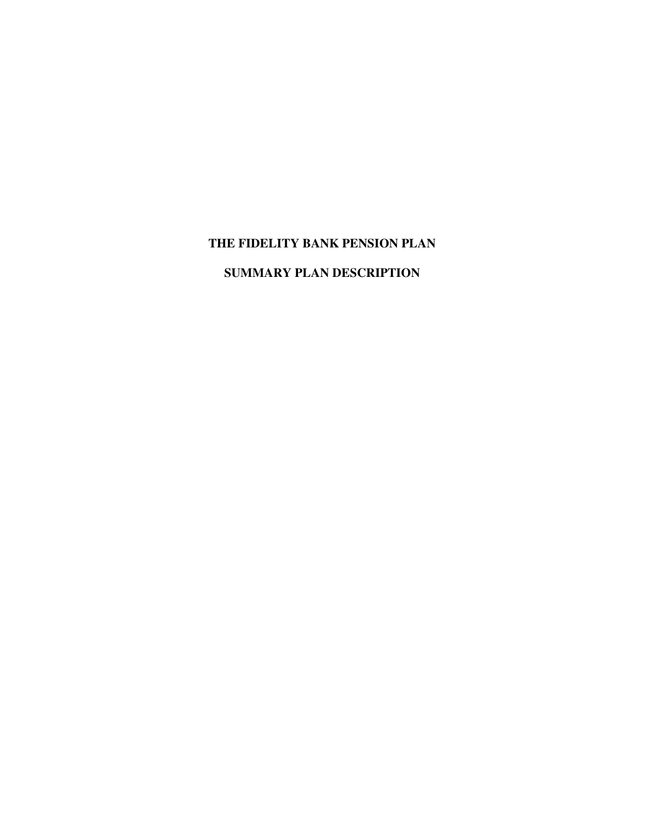# **THE FIDELITY BANK PENSION PLAN**

# **SUMMARY PLAN DESCRIPTION**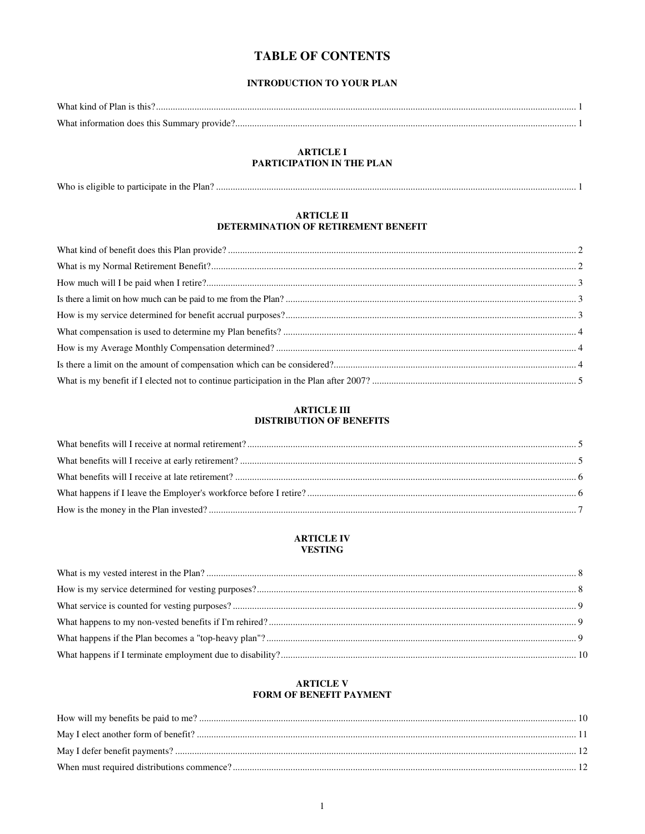# **TABLE OF CONTENTS**

#### **INTRODUCTION TO YOUR PLAN**

#### **ARTICLE I** PARTICIPATION IN THE PLAN

#### **ARTICLE II** DETERMINATION OF RETIREMENT BENEFIT

#### **ARTICLE III DISTRIBUTION OF BENEFITS**

#### **ARTICLE IV VESTING**

#### **ARTICLE V** FORM OF BENEFIT PAYMENT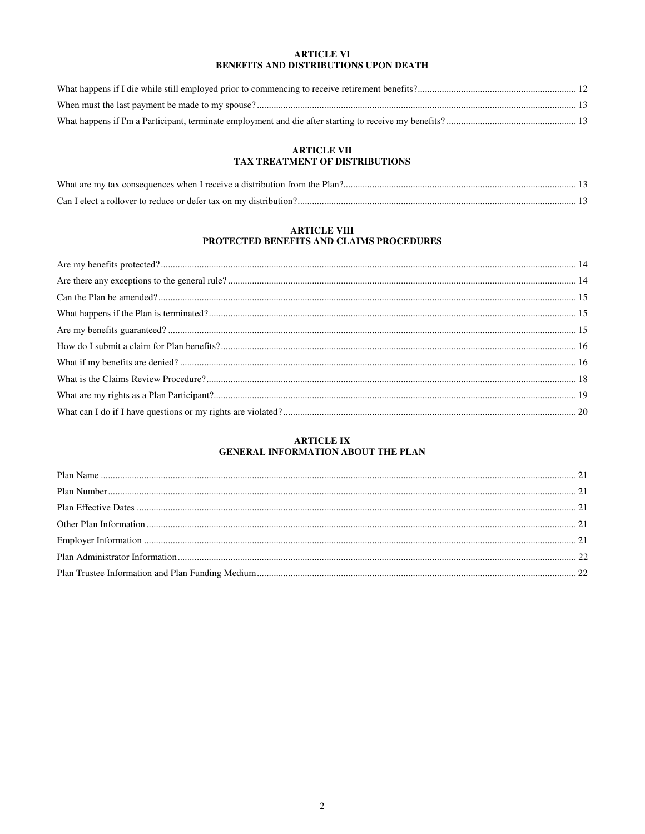#### **ARTICLE VI** BENEFITS AND DISTRIBUTIONS UPON DEATH

# ARTICLE VII<br>TAX TREATMENT OF DISTRIBUTIONS

# ${\bf ARTICLE~VIII}$  PROTECTED BENEFITS AND CLAIMS PROCEDURES

#### **ARTICLE IX** GENERAL INFORMATION ABOUT THE PLAN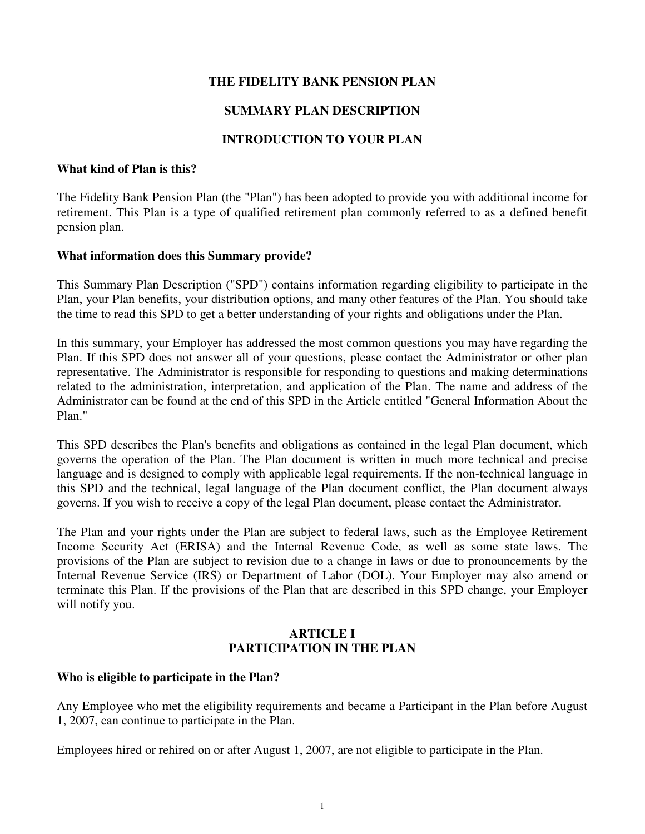# **THE FIDELITY BANK PENSION PLAN**

# **SUMMARY PLAN DESCRIPTION**

# **INTRODUCTION TO YOUR PLAN**

#### **What kind of Plan is this?**

The Fidelity Bank Pension Plan (the "Plan") has been adopted to provide you with additional income for retirement. This Plan is a type of qualified retirement plan commonly referred to as a defined benefit pension plan.

#### **What information does this Summary provide?**

This Summary Plan Description ("SPD") contains information regarding eligibility to participate in the Plan, your Plan benefits, your distribution options, and many other features of the Plan. You should take the time to read this SPD to get a better understanding of your rights and obligations under the Plan.

In this summary, your Employer has addressed the most common questions you may have regarding the Plan. If this SPD does not answer all of your questions, please contact the Administrator or other plan representative. The Administrator is responsible for responding to questions and making determinations related to the administration, interpretation, and application of the Plan. The name and address of the Administrator can be found at the end of this SPD in the Article entitled "General Information About the Plan."

This SPD describes the Plan's benefits and obligations as contained in the legal Plan document, which governs the operation of the Plan. The Plan document is written in much more technical and precise language and is designed to comply with applicable legal requirements. If the non-technical language in this SPD and the technical, legal language of the Plan document conflict, the Plan document always governs. If you wish to receive a copy of the legal Plan document, please contact the Administrator.

The Plan and your rights under the Plan are subject to federal laws, such as the Employee Retirement Income Security Act (ERISA) and the Internal Revenue Code, as well as some state laws. The provisions of the Plan are subject to revision due to a change in laws or due to pronouncements by the Internal Revenue Service (IRS) or Department of Labor (DOL). Your Employer may also amend or terminate this Plan. If the provisions of the Plan that are described in this SPD change, your Employer will notify you.

## **ARTICLE I PARTICIPATION IN THE PLAN**

#### **Who is eligible to participate in the Plan?**

Any Employee who met the eligibility requirements and became a Participant in the Plan before August 1, 2007, can continue to participate in the Plan.

Employees hired or rehired on or after August 1, 2007, are not eligible to participate in the Plan.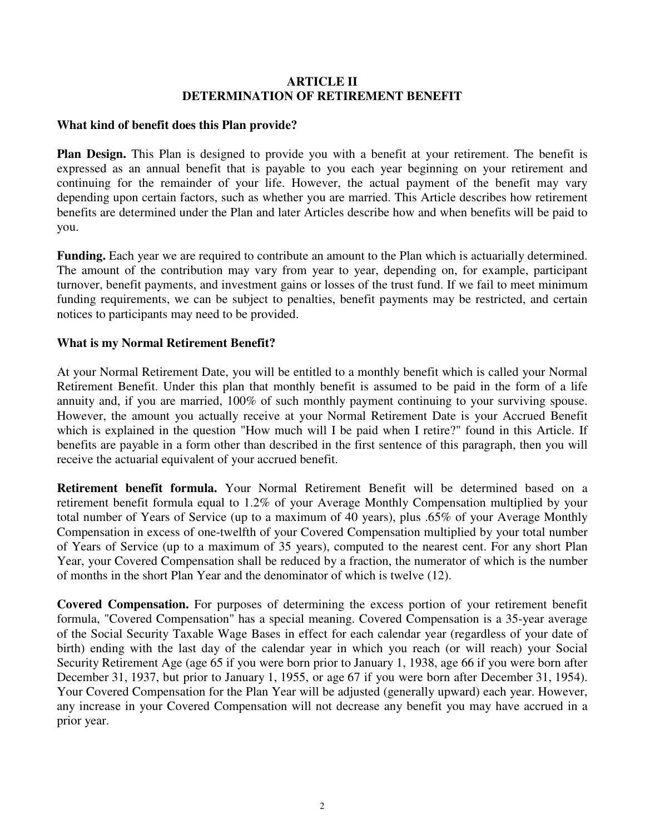### **ARTICLE II DETERMINATION OF RETIREMENT BENEFIT**

### **What kind of benefit does this Plan provide?**

**Plan Design.** This Plan is designed to provide you with a benefit at your retirement. The benefit is expressed as an annual benefit that is payable to you each year beginning on your retirement and continuing for the remainder of your life. However, the actual payment of the benefit may vary depending upon certain factors, such as whether you are married. This Article describes how retirement benefits are determined under the Plan and later Articles describe how and when benefits will be paid to you.

**Funding.** Each year we are required to contribute an amount to the Plan which is actuarially determined. The amount of the contribution may vary from year to year, depending on, for example, participant turnover, benefit payments, and investment gains or losses of the trust fund. If we fail to meet minimum funding requirements, we can be subject to penalties, benefit payments may be restricted, and certain notices to participants may need to be provided.

## **What is my Normal Retirement Benefit?**

At your Normal Retirement Date, you will be entitled to a monthly benefit which is called your Normal Retirement Benefit. Under this plan that monthly benefit is assumed to be paid in the form of a life annuity and, if you are married, 100% of such monthly payment continuing to your surviving spouse. However, the amount you actually receive at your Normal Retirement Date is your Accrued Benefit which is explained in the question "How much will I be paid when I retire?" found in this Article. If benefits are payable in a form other than described in the first sentence of this paragraph, then you will receive the actuarial equivalent of your accrued benefit.

**Retirement benefit formula.** Your Normal Retirement Benefit will be determined based on a retirement benefit formula equal to 1.2% of your Average Monthly Compensation multiplied by your total number of Years of Service (up to a maximum of 40 years), plus .65% of your Average Monthly Compensation in excess of one-twelfth of your Covered Compensation multiplied by your total number of Years of Service (up to a maximum of 35 years), computed to the nearest cent. For any short Plan Year, your Covered Compensation shall be reduced by a fraction, the numerator of which is the number of months in the short Plan Year and the denominator of which is twelve (12).

**Covered Compensation.** For purposes of determining the excess portion of your retirement benefit formula, "Covered Compensation" has a special meaning. Covered Compensation is a 35-year average of the Social Security Taxable Wage Bases in effect for each calendar year (regardless of your date of birth) ending with the last day of the calendar year in which you reach (or will reach) your Social Security Retirement Age (age 65 if you were born prior to January 1, 1938, age 66 if you were born after December 31, 1937, but prior to January 1, 1955, or age 67 if you were born after December 31, 1954). Your Covered Compensation for the Plan Year will be adjusted (generally upward) each year. However, any increase in your Covered Compensation will not decrease any benefit you may have accrued in a prior year.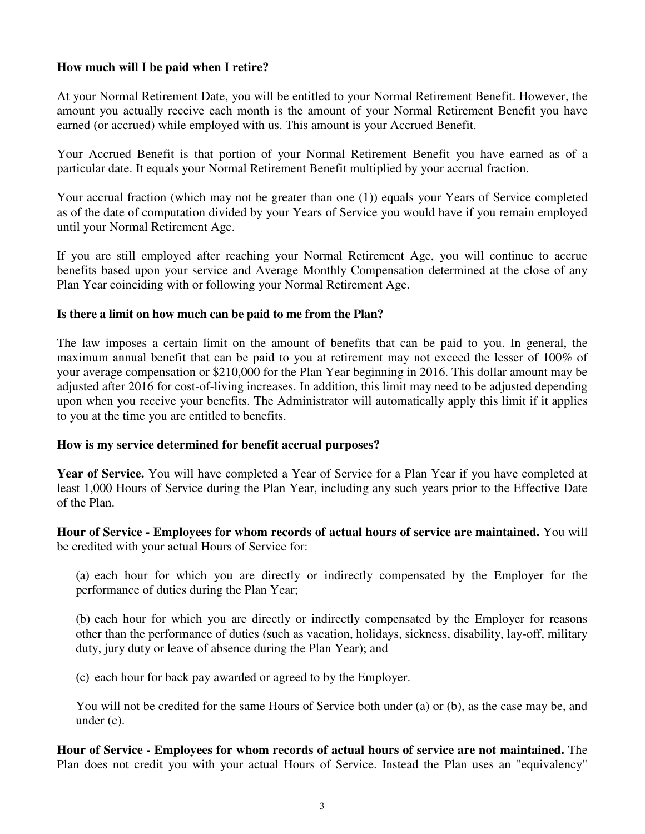## **How much will I be paid when I retire?**

At your Normal Retirement Date, you will be entitled to your Normal Retirement Benefit. However, the amount you actually receive each month is the amount of your Normal Retirement Benefit you have earned (or accrued) while employed with us. This amount is your Accrued Benefit.

Your Accrued Benefit is that portion of your Normal Retirement Benefit you have earned as of a particular date. It equals your Normal Retirement Benefit multiplied by your accrual fraction.

Your accrual fraction (which may not be greater than one (1)) equals your Years of Service completed as of the date of computation divided by your Years of Service you would have if you remain employed until your Normal Retirement Age.

If you are still employed after reaching your Normal Retirement Age, you will continue to accrue benefits based upon your service and Average Monthly Compensation determined at the close of any Plan Year coinciding with or following your Normal Retirement Age.

#### **Is there a limit on how much can be paid to me from the Plan?**

The law imposes a certain limit on the amount of benefits that can be paid to you. In general, the maximum annual benefit that can be paid to you at retirement may not exceed the lesser of 100% of your average compensation or \$210,000 for the Plan Year beginning in 2016. This dollar amount may be adjusted after 2016 for cost-of-living increases. In addition, this limit may need to be adjusted depending upon when you receive your benefits. The Administrator will automatically apply this limit if it applies to you at the time you are entitled to benefits.

#### **How is my service determined for benefit accrual purposes?**

**Year of Service.** You will have completed a Year of Service for a Plan Year if you have completed at least 1,000 Hours of Service during the Plan Year, including any such years prior to the Effective Date of the Plan.

**Hour of Service - Employees for whom records of actual hours of service are maintained.** You will be credited with your actual Hours of Service for:

(a) each hour for which you are directly or indirectly compensated by the Employer for the performance of duties during the Plan Year;

(b) each hour for which you are directly or indirectly compensated by the Employer for reasons other than the performance of duties (such as vacation, holidays, sickness, disability, lay-off, military duty, jury duty or leave of absence during the Plan Year); and

(c) each hour for back pay awarded or agreed to by the Employer.

You will not be credited for the same Hours of Service both under (a) or (b), as the case may be, and under (c).

**Hour of Service - Employees for whom records of actual hours of service are not maintained.** The Plan does not credit you with your actual Hours of Service. Instead the Plan uses an "equivalency"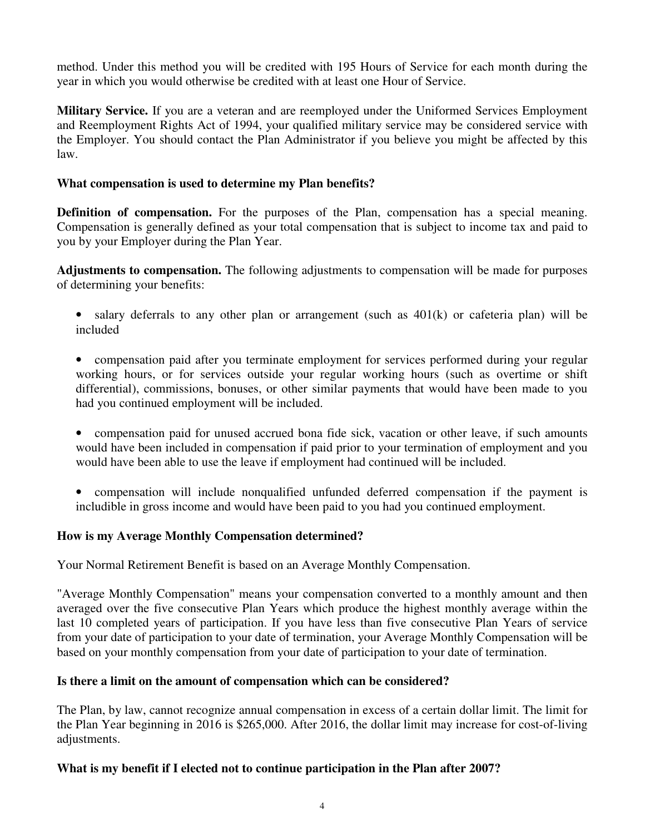method. Under this method you will be credited with 195 Hours of Service for each month during the year in which you would otherwise be credited with at least one Hour of Service.

**Military Service.** If you are a veteran and are reemployed under the Uniformed Services Employment and Reemployment Rights Act of 1994, your qualified military service may be considered service with the Employer. You should contact the Plan Administrator if you believe you might be affected by this law.

## **What compensation is used to determine my Plan benefits?**

**Definition of compensation.** For the purposes of the Plan, compensation has a special meaning. Compensation is generally defined as your total compensation that is subject to income tax and paid to you by your Employer during the Plan Year.

**Adjustments to compensation.** The following adjustments to compensation will be made for purposes of determining your benefits:

- salary deferrals to any other plan or arrangement (such as  $401(k)$  or cafeteria plan) will be included
- compensation paid after you terminate employment for services performed during your regular working hours, or for services outside your regular working hours (such as overtime or shift differential), commissions, bonuses, or other similar payments that would have been made to you had you continued employment will be included.
- compensation paid for unused accrued bona fide sick, vacation or other leave, if such amounts would have been included in compensation if paid prior to your termination of employment and you would have been able to use the leave if employment had continued will be included.
- compensation will include nonqualified unfunded deferred compensation if the payment is includible in gross income and would have been paid to you had you continued employment.

# **How is my Average Monthly Compensation determined?**

Your Normal Retirement Benefit is based on an Average Monthly Compensation.

"Average Monthly Compensation" means your compensation converted to a monthly amount and then averaged over the five consecutive Plan Years which produce the highest monthly average within the last 10 completed years of participation. If you have less than five consecutive Plan Years of service from your date of participation to your date of termination, your Average Monthly Compensation will be based on your monthly compensation from your date of participation to your date of termination.

#### **Is there a limit on the amount of compensation which can be considered?**

The Plan, by law, cannot recognize annual compensation in excess of a certain dollar limit. The limit for the Plan Year beginning in 2016 is \$265,000. After 2016, the dollar limit may increase for cost-of-living adjustments.

#### **What is my benefit if I elected not to continue participation in the Plan after 2007?**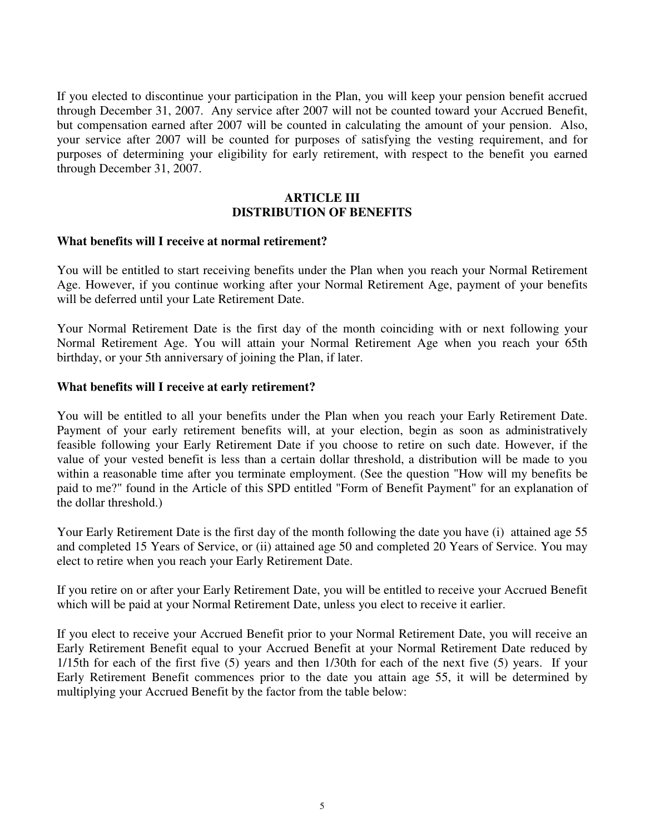If you elected to discontinue your participation in the Plan, you will keep your pension benefit accrued through December 31, 2007. Any service after 2007 will not be counted toward your Accrued Benefit, but compensation earned after 2007 will be counted in calculating the amount of your pension. Also, your service after 2007 will be counted for purposes of satisfying the vesting requirement, and for purposes of determining your eligibility for early retirement, with respect to the benefit you earned through December 31, 2007.

#### **ARTICLE III DISTRIBUTION OF BENEFITS**

#### **What benefits will I receive at normal retirement?**

You will be entitled to start receiving benefits under the Plan when you reach your Normal Retirement Age. However, if you continue working after your Normal Retirement Age, payment of your benefits will be deferred until your Late Retirement Date.

Your Normal Retirement Date is the first day of the month coinciding with or next following your Normal Retirement Age. You will attain your Normal Retirement Age when you reach your 65th birthday, or your 5th anniversary of joining the Plan, if later.

#### **What benefits will I receive at early retirement?**

You will be entitled to all your benefits under the Plan when you reach your Early Retirement Date. Payment of your early retirement benefits will, at your election, begin as soon as administratively feasible following your Early Retirement Date if you choose to retire on such date. However, if the value of your vested benefit is less than a certain dollar threshold, a distribution will be made to you within a reasonable time after you terminate employment. (See the question "How will my benefits be paid to me?" found in the Article of this SPD entitled "Form of Benefit Payment" for an explanation of the dollar threshold.)

Your Early Retirement Date is the first day of the month following the date you have (i) attained age 55 and completed 15 Years of Service, or (ii) attained age 50 and completed 20 Years of Service. You may elect to retire when you reach your Early Retirement Date.

If you retire on or after your Early Retirement Date, you will be entitled to receive your Accrued Benefit which will be paid at your Normal Retirement Date, unless you elect to receive it earlier.

If you elect to receive your Accrued Benefit prior to your Normal Retirement Date, you will receive an Early Retirement Benefit equal to your Accrued Benefit at your Normal Retirement Date reduced by 1/15th for each of the first five (5) years and then 1/30th for each of the next five (5) years. If your Early Retirement Benefit commences prior to the date you attain age 55, it will be determined by multiplying your Accrued Benefit by the factor from the table below: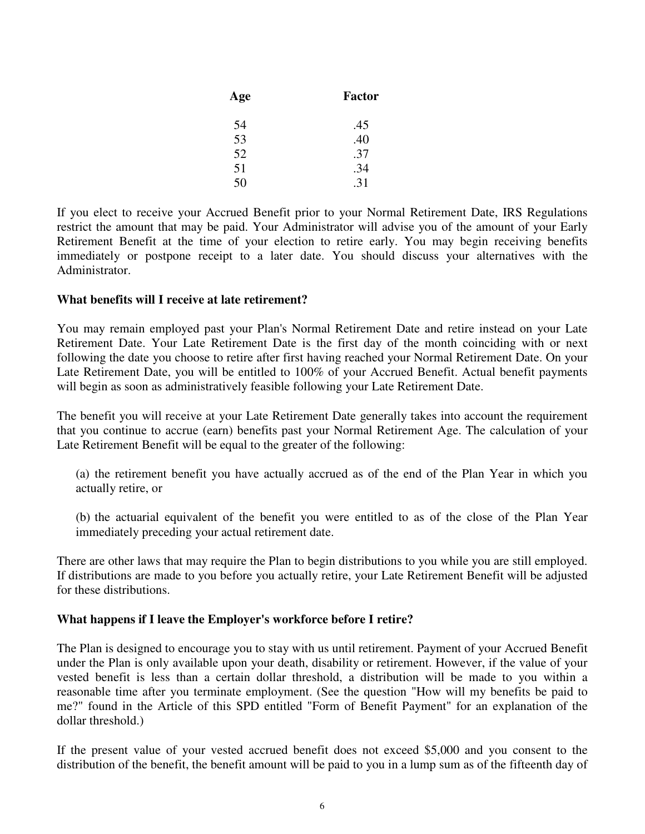| Age | Factor |  |
|-----|--------|--|
| 54  | .45    |  |
| 53  | .40    |  |
| 52  | .37    |  |
| 51  | .34    |  |
| 50  | .31    |  |

If you elect to receive your Accrued Benefit prior to your Normal Retirement Date, IRS Regulations restrict the amount that may be paid. Your Administrator will advise you of the amount of your Early Retirement Benefit at the time of your election to retire early. You may begin receiving benefits immediately or postpone receipt to a later date. You should discuss your alternatives with the Administrator.

## **What benefits will I receive at late retirement?**

You may remain employed past your Plan's Normal Retirement Date and retire instead on your Late Retirement Date. Your Late Retirement Date is the first day of the month coinciding with or next following the date you choose to retire after first having reached your Normal Retirement Date. On your Late Retirement Date, you will be entitled to 100% of your Accrued Benefit. Actual benefit payments will begin as soon as administratively feasible following your Late Retirement Date.

The benefit you will receive at your Late Retirement Date generally takes into account the requirement that you continue to accrue (earn) benefits past your Normal Retirement Age. The calculation of your Late Retirement Benefit will be equal to the greater of the following:

(a) the retirement benefit you have actually accrued as of the end of the Plan Year in which you actually retire, or

(b) the actuarial equivalent of the benefit you were entitled to as of the close of the Plan Year immediately preceding your actual retirement date.

There are other laws that may require the Plan to begin distributions to you while you are still employed. If distributions are made to you before you actually retire, your Late Retirement Benefit will be adjusted for these distributions.

# **What happens if I leave the Employer's workforce before I retire?**

The Plan is designed to encourage you to stay with us until retirement. Payment of your Accrued Benefit under the Plan is only available upon your death, disability or retirement. However, if the value of your vested benefit is less than a certain dollar threshold, a distribution will be made to you within a reasonable time after you terminate employment. (See the question "How will my benefits be paid to me?" found in the Article of this SPD entitled "Form of Benefit Payment" for an explanation of the dollar threshold.)

If the present value of your vested accrued benefit does not exceed \$5,000 and you consent to the distribution of the benefit, the benefit amount will be paid to you in a lump sum as of the fifteenth day of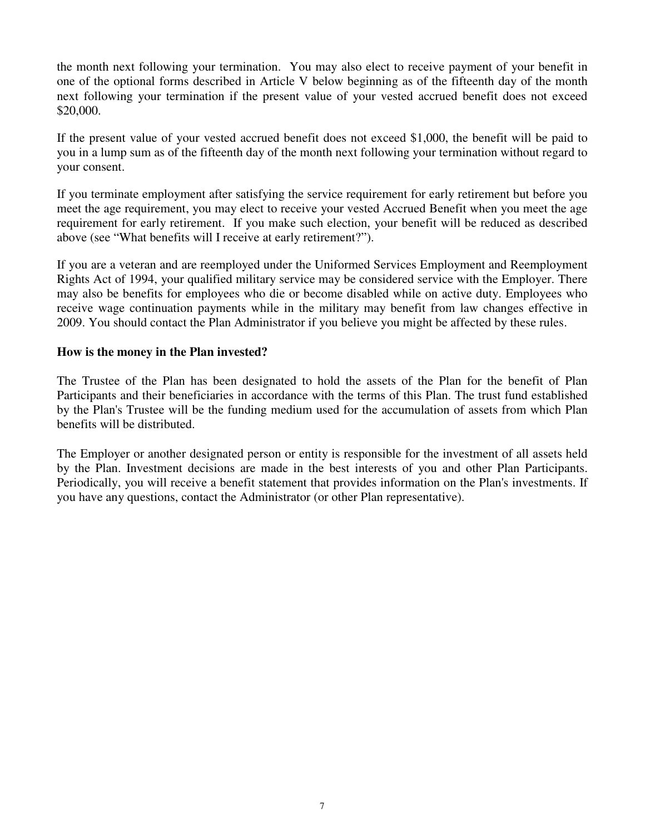the month next following your termination. You may also elect to receive payment of your benefit in one of the optional forms described in Article V below beginning as of the fifteenth day of the month next following your termination if the present value of your vested accrued benefit does not exceed \$20,000.

If the present value of your vested accrued benefit does not exceed \$1,000, the benefit will be paid to you in a lump sum as of the fifteenth day of the month next following your termination without regard to your consent.

If you terminate employment after satisfying the service requirement for early retirement but before you meet the age requirement, you may elect to receive your vested Accrued Benefit when you meet the age requirement for early retirement. If you make such election, your benefit will be reduced as described above (see "What benefits will I receive at early retirement?").

If you are a veteran and are reemployed under the Uniformed Services Employment and Reemployment Rights Act of 1994, your qualified military service may be considered service with the Employer. There may also be benefits for employees who die or become disabled while on active duty. Employees who receive wage continuation payments while in the military may benefit from law changes effective in 2009. You should contact the Plan Administrator if you believe you might be affected by these rules.

#### **How is the money in the Plan invested?**

The Trustee of the Plan has been designated to hold the assets of the Plan for the benefit of Plan Participants and their beneficiaries in accordance with the terms of this Plan. The trust fund established by the Plan's Trustee will be the funding medium used for the accumulation of assets from which Plan benefits will be distributed.

The Employer or another designated person or entity is responsible for the investment of all assets held by the Plan. Investment decisions are made in the best interests of you and other Plan Participants. Periodically, you will receive a benefit statement that provides information on the Plan's investments. If you have any questions, contact the Administrator (or other Plan representative).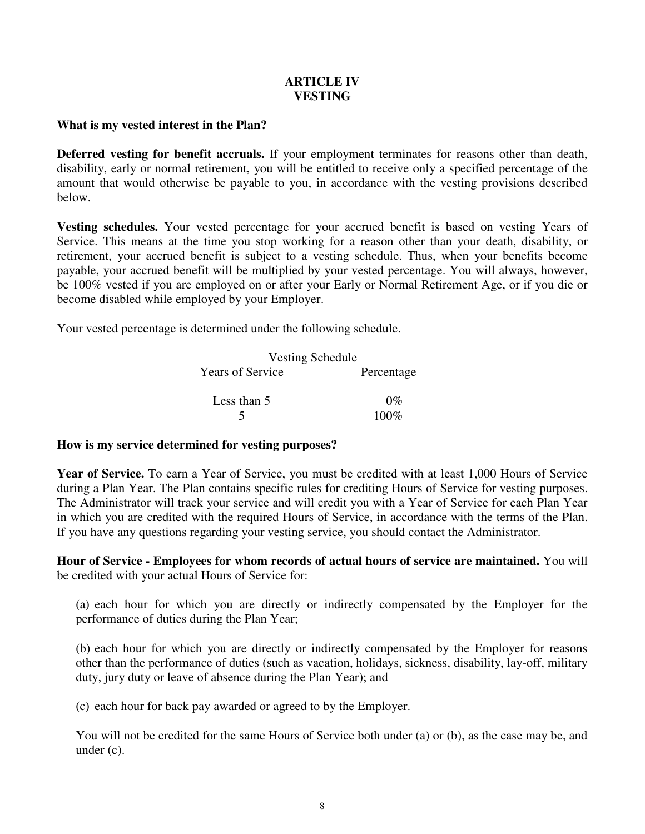## **ARTICLE IV VESTING**

## **What is my vested interest in the Plan?**

**Deferred vesting for benefit accruals.** If your employment terminates for reasons other than death, disability, early or normal retirement, you will be entitled to receive only a specified percentage of the amount that would otherwise be payable to you, in accordance with the vesting provisions described below.

**Vesting schedules.** Your vested percentage for your accrued benefit is based on vesting Years of Service. This means at the time you stop working for a reason other than your death, disability, or retirement, your accrued benefit is subject to a vesting schedule. Thus, when your benefits become payable, your accrued benefit will be multiplied by your vested percentage. You will always, however, be 100% vested if you are employed on or after your Early or Normal Retirement Age, or if you die or become disabled while employed by your Employer.

Your vested percentage is determined under the following schedule.

|                         | Vesting Schedule |  |
|-------------------------|------------------|--|
| <b>Years of Service</b> | Percentage       |  |
| Less than 5             | $0\%$            |  |
|                         | $100\%$          |  |

# **How is my service determined for vesting purposes?**

**Year of Service.** To earn a Year of Service, you must be credited with at least 1,000 Hours of Service during a Plan Year. The Plan contains specific rules for crediting Hours of Service for vesting purposes. The Administrator will track your service and will credit you with a Year of Service for each Plan Year in which you are credited with the required Hours of Service, in accordance with the terms of the Plan. If you have any questions regarding your vesting service, you should contact the Administrator.

**Hour of Service - Employees for whom records of actual hours of service are maintained.** You will be credited with your actual Hours of Service for:

(a) each hour for which you are directly or indirectly compensated by the Employer for the performance of duties during the Plan Year;

(b) each hour for which you are directly or indirectly compensated by the Employer for reasons other than the performance of duties (such as vacation, holidays, sickness, disability, lay-off, military duty, jury duty or leave of absence during the Plan Year); and

(c) each hour for back pay awarded or agreed to by the Employer.

You will not be credited for the same Hours of Service both under (a) or (b), as the case may be, and under (c).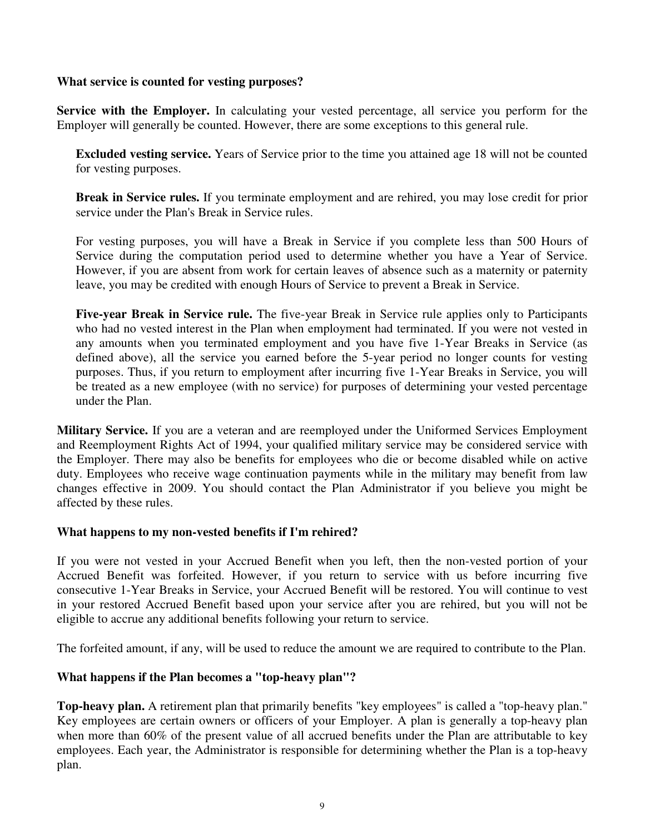#### **What service is counted for vesting purposes?**

**Service with the Employer.** In calculating your vested percentage, all service you perform for the Employer will generally be counted. However, there are some exceptions to this general rule.

**Excluded vesting service.** Years of Service prior to the time you attained age 18 will not be counted for vesting purposes.

**Break in Service rules.** If you terminate employment and are rehired, you may lose credit for prior service under the Plan's Break in Service rules.

For vesting purposes, you will have a Break in Service if you complete less than 500 Hours of Service during the computation period used to determine whether you have a Year of Service. However, if you are absent from work for certain leaves of absence such as a maternity or paternity leave, you may be credited with enough Hours of Service to prevent a Break in Service.

**Five-year Break in Service rule.** The five-year Break in Service rule applies only to Participants who had no vested interest in the Plan when employment had terminated. If you were not vested in any amounts when you terminated employment and you have five 1-Year Breaks in Service (as defined above), all the service you earned before the 5-year period no longer counts for vesting purposes. Thus, if you return to employment after incurring five 1-Year Breaks in Service, you will be treated as a new employee (with no service) for purposes of determining your vested percentage under the Plan.

**Military Service.** If you are a veteran and are reemployed under the Uniformed Services Employment and Reemployment Rights Act of 1994, your qualified military service may be considered service with the Employer. There may also be benefits for employees who die or become disabled while on active duty. Employees who receive wage continuation payments while in the military may benefit from law changes effective in 2009. You should contact the Plan Administrator if you believe you might be affected by these rules.

#### **What happens to my non-vested benefits if I'm rehired?**

If you were not vested in your Accrued Benefit when you left, then the non-vested portion of your Accrued Benefit was forfeited. However, if you return to service with us before incurring five consecutive 1-Year Breaks in Service, your Accrued Benefit will be restored. You will continue to vest in your restored Accrued Benefit based upon your service after you are rehired, but you will not be eligible to accrue any additional benefits following your return to service.

The forfeited amount, if any, will be used to reduce the amount we are required to contribute to the Plan.

#### **What happens if the Plan becomes a "top-heavy plan"?**

**Top-heavy plan.** A retirement plan that primarily benefits "key employees" is called a "top-heavy plan." Key employees are certain owners or officers of your Employer. A plan is generally a top-heavy plan when more than 60% of the present value of all accrued benefits under the Plan are attributable to key employees. Each year, the Administrator is responsible for determining whether the Plan is a top-heavy plan.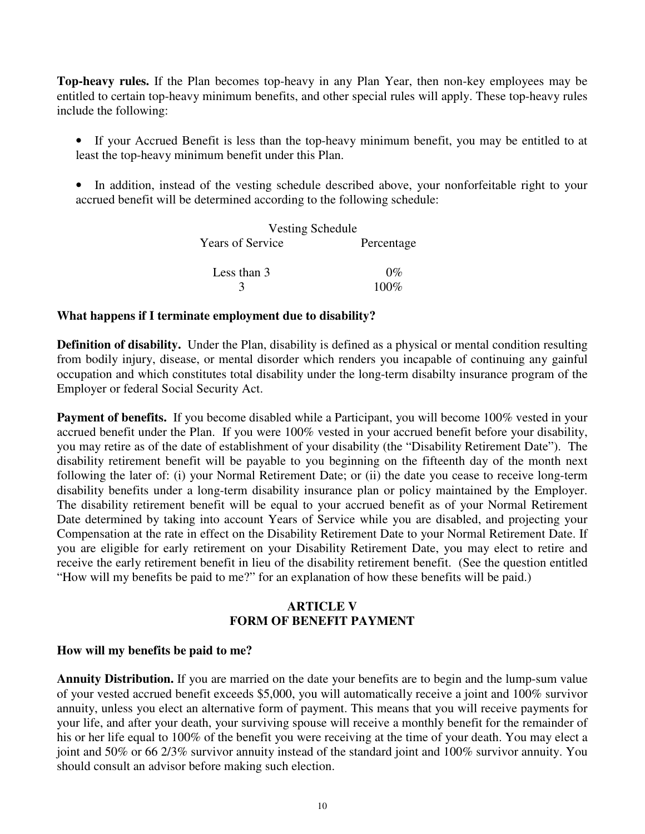**Top-heavy rules.** If the Plan becomes top-heavy in any Plan Year, then non-key employees may be entitled to certain top-heavy minimum benefits, and other special rules will apply. These top-heavy rules include the following:

- If your Accrued Benefit is less than the top-heavy minimum benefit, you may be entitled to at least the top-heavy minimum benefit under this Plan.
- In addition, instead of the vesting schedule described above, your nonforfeitable right to your accrued benefit will be determined according to the following schedule:

|             | <b>Vesting Schedule</b>               |  |
|-------------|---------------------------------------|--|
|             | <b>Years of Service</b><br>Percentage |  |
| Less than 3 | $0\%$                                 |  |
|             | $100\%$                               |  |

#### **What happens if I terminate employment due to disability?**

**Definition of disability.** Under the Plan, disability is defined as a physical or mental condition resulting from bodily injury, disease, or mental disorder which renders you incapable of continuing any gainful occupation and which constitutes total disability under the long-term disabilty insurance program of the Employer or federal Social Security Act.

**Payment of benefits.** If you become disabled while a Participant, you will become 100% vested in your accrued benefit under the Plan. If you were 100% vested in your accrued benefit before your disability, you may retire as of the date of establishment of your disability (the "Disability Retirement Date"). The disability retirement benefit will be payable to you beginning on the fifteenth day of the month next following the later of: (i) your Normal Retirement Date; or (ii) the date you cease to receive long-term disability benefits under a long-term disability insurance plan or policy maintained by the Employer. The disability retirement benefit will be equal to your accrued benefit as of your Normal Retirement Date determined by taking into account Years of Service while you are disabled, and projecting your Compensation at the rate in effect on the Disability Retirement Date to your Normal Retirement Date. If you are eligible for early retirement on your Disability Retirement Date, you may elect to retire and receive the early retirement benefit in lieu of the disability retirement benefit. (See the question entitled "How will my benefits be paid to me?" for an explanation of how these benefits will be paid.)

#### **ARTICLE V FORM OF BENEFIT PAYMENT**

#### **How will my benefits be paid to me?**

**Annuity Distribution.** If you are married on the date your benefits are to begin and the lump-sum value of your vested accrued benefit exceeds \$5,000, you will automatically receive a joint and 100% survivor annuity, unless you elect an alternative form of payment. This means that you will receive payments for your life, and after your death, your surviving spouse will receive a monthly benefit for the remainder of his or her life equal to 100% of the benefit you were receiving at the time of your death. You may elect a joint and 50% or 66 2/3% survivor annuity instead of the standard joint and 100% survivor annuity. You should consult an advisor before making such election.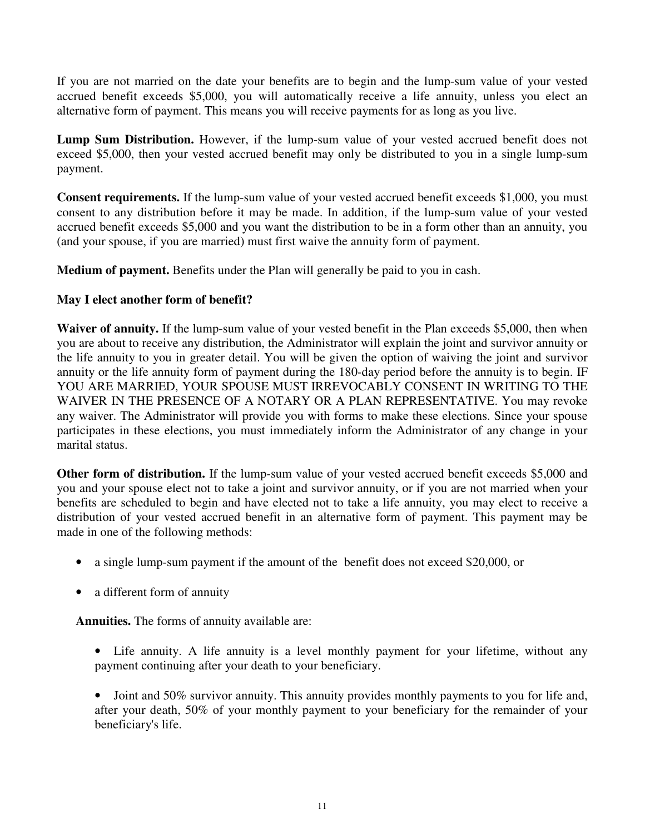If you are not married on the date your benefits are to begin and the lump-sum value of your vested accrued benefit exceeds \$5,000, you will automatically receive a life annuity, unless you elect an alternative form of payment. This means you will receive payments for as long as you live.

**Lump Sum Distribution.** However, if the lump-sum value of your vested accrued benefit does not exceed \$5,000, then your vested accrued benefit may only be distributed to you in a single lump-sum payment.

**Consent requirements.** If the lump-sum value of your vested accrued benefit exceeds \$1,000, you must consent to any distribution before it may be made. In addition, if the lump-sum value of your vested accrued benefit exceeds \$5,000 and you want the distribution to be in a form other than an annuity, you (and your spouse, if you are married) must first waive the annuity form of payment.

**Medium of payment.** Benefits under the Plan will generally be paid to you in cash.

# **May I elect another form of benefit?**

**Waiver of annuity.** If the lump-sum value of your vested benefit in the Plan exceeds \$5,000, then when you are about to receive any distribution, the Administrator will explain the joint and survivor annuity or the life annuity to you in greater detail. You will be given the option of waiving the joint and survivor annuity or the life annuity form of payment during the 180-day period before the annuity is to begin. IF YOU ARE MARRIED, YOUR SPOUSE MUST IRREVOCABLY CONSENT IN WRITING TO THE WAIVER IN THE PRESENCE OF A NOTARY OR A PLAN REPRESENTATIVE. You may revoke any waiver. The Administrator will provide you with forms to make these elections. Since your spouse participates in these elections, you must immediately inform the Administrator of any change in your marital status.

**Other form of distribution.** If the lump-sum value of your vested accrued benefit exceeds \$5,000 and you and your spouse elect not to take a joint and survivor annuity, or if you are not married when your benefits are scheduled to begin and have elected not to take a life annuity, you may elect to receive a distribution of your vested accrued benefit in an alternative form of payment. This payment may be made in one of the following methods:

- a single lump-sum payment if the amount of the benefit does not exceed \$20,000, or
- a different form of annuity

**Annuities.** The forms of annuity available are:

• Life annuity. A life annuity is a level monthly payment for your lifetime, without any payment continuing after your death to your beneficiary.

• Joint and 50% survivor annuity. This annuity provides monthly payments to you for life and, after your death, 50% of your monthly payment to your beneficiary for the remainder of your beneficiary's life.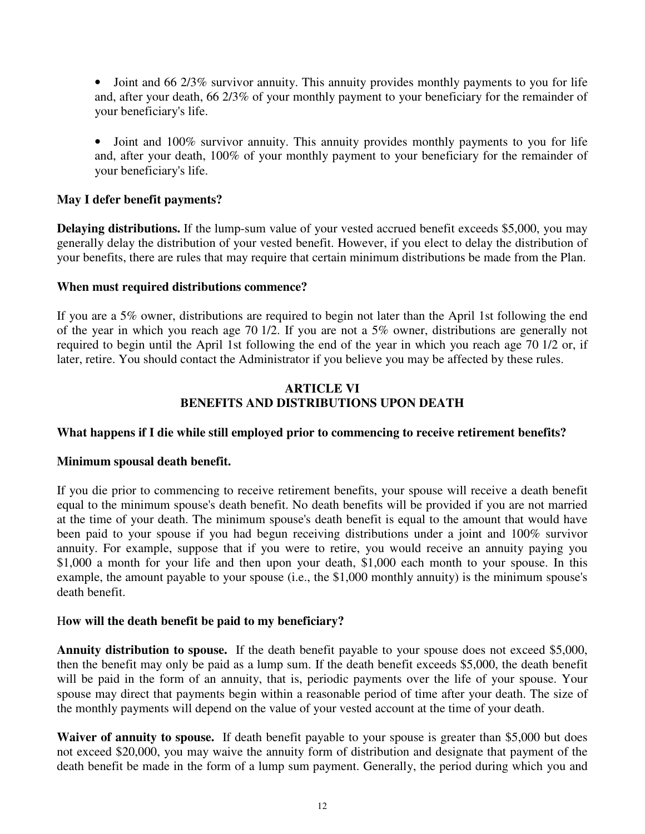• Joint and 66 2/3% survivor annuity. This annuity provides monthly payments to you for life and, after your death, 66 2/3% of your monthly payment to your beneficiary for the remainder of your beneficiary's life.

• Joint and 100% survivor annuity. This annuity provides monthly payments to you for life and, after your death, 100% of your monthly payment to your beneficiary for the remainder of your beneficiary's life.

# **May I defer benefit payments?**

**Delaying distributions.** If the lump-sum value of your vested accrued benefit exceeds \$5,000, you may generally delay the distribution of your vested benefit. However, if you elect to delay the distribution of your benefits, there are rules that may require that certain minimum distributions be made from the Plan.

#### **When must required distributions commence?**

If you are a 5% owner, distributions are required to begin not later than the April 1st following the end of the year in which you reach age 70 1/2. If you are not a 5% owner, distributions are generally not required to begin until the April 1st following the end of the year in which you reach age 70 1/2 or, if later, retire. You should contact the Administrator if you believe you may be affected by these rules.

### **ARTICLE VI BENEFITS AND DISTRIBUTIONS UPON DEATH**

#### **What happens if I die while still employed prior to commencing to receive retirement benefits?**

#### **Minimum spousal death benefit.**

If you die prior to commencing to receive retirement benefits, your spouse will receive a death benefit equal to the minimum spouse's death benefit. No death benefits will be provided if you are not married at the time of your death. The minimum spouse's death benefit is equal to the amount that would have been paid to your spouse if you had begun receiving distributions under a joint and 100% survivor annuity. For example, suppose that if you were to retire, you would receive an annuity paying you \$1,000 a month for your life and then upon your death, \$1,000 each month to your spouse. In this example, the amount payable to your spouse (i.e., the \$1,000 monthly annuity) is the minimum spouse's death benefit.

#### H**ow will the death benefit be paid to my beneficiary?**

**Annuity distribution to spouse.** If the death benefit payable to your spouse does not exceed \$5,000, then the benefit may only be paid as a lump sum. If the death benefit exceeds \$5,000, the death benefit will be paid in the form of an annuity, that is, periodic payments over the life of your spouse. Your spouse may direct that payments begin within a reasonable period of time after your death. The size of the monthly payments will depend on the value of your vested account at the time of your death.

**Waiver of annuity to spouse.** If death benefit payable to your spouse is greater than \$5,000 but does not exceed \$20,000, you may waive the annuity form of distribution and designate that payment of the death benefit be made in the form of a lump sum payment. Generally, the period during which you and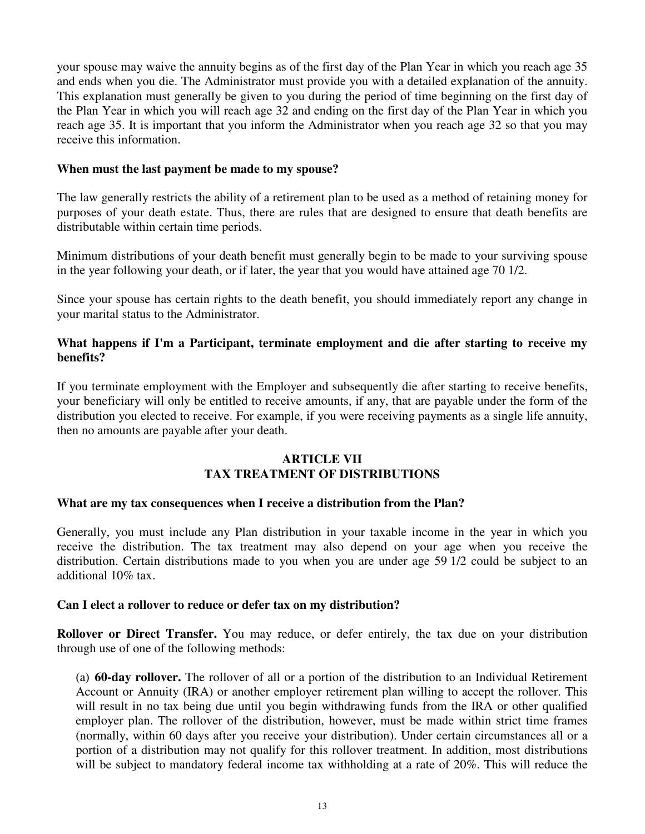your spouse may waive the annuity begins as of the first day of the Plan Year in which you reach age 35 and ends when you die. The Administrator must provide you with a detailed explanation of the annuity. This explanation must generally be given to you during the period of time beginning on the first day of the Plan Year in which you will reach age 32 and ending on the first day of the Plan Year in which you reach age 35. It is important that you inform the Administrator when you reach age 32 so that you may receive this information.

#### **When must the last payment be made to my spouse?**

The law generally restricts the ability of a retirement plan to be used as a method of retaining money for purposes of your death estate. Thus, there are rules that are designed to ensure that death benefits are distributable within certain time periods.

Minimum distributions of your death benefit must generally begin to be made to your surviving spouse in the year following your death, or if later, the year that you would have attained age 70 1/2.

Since your spouse has certain rights to the death benefit, you should immediately report any change in your marital status to the Administrator.

### **What happens if I'm a Participant, terminate employment and die after starting to receive my benefits?**

If you terminate employment with the Employer and subsequently die after starting to receive benefits, your beneficiary will only be entitled to receive amounts, if any, that are payable under the form of the distribution you elected to receive. For example, if you were receiving payments as a single life annuity, then no amounts are payable after your death.

#### **ARTICLE VII TAX TREATMENT OF DISTRIBUTIONS**

#### **What are my tax consequences when I receive a distribution from the Plan?**

Generally, you must include any Plan distribution in your taxable income in the year in which you receive the distribution. The tax treatment may also depend on your age when you receive the distribution. Certain distributions made to you when you are under age 59 1/2 could be subject to an additional 10% tax.

#### **Can I elect a rollover to reduce or defer tax on my distribution?**

**Rollover or Direct Transfer.** You may reduce, or defer entirely, the tax due on your distribution through use of one of the following methods:

(a) **60-day rollover.** The rollover of all or a portion of the distribution to an Individual Retirement Account or Annuity (IRA) or another employer retirement plan willing to accept the rollover. This will result in no tax being due until you begin withdrawing funds from the IRA or other qualified employer plan. The rollover of the distribution, however, must be made within strict time frames (normally, within 60 days after you receive your distribution). Under certain circumstances all or a portion of a distribution may not qualify for this rollover treatment. In addition, most distributions will be subject to mandatory federal income tax withholding at a rate of 20%. This will reduce the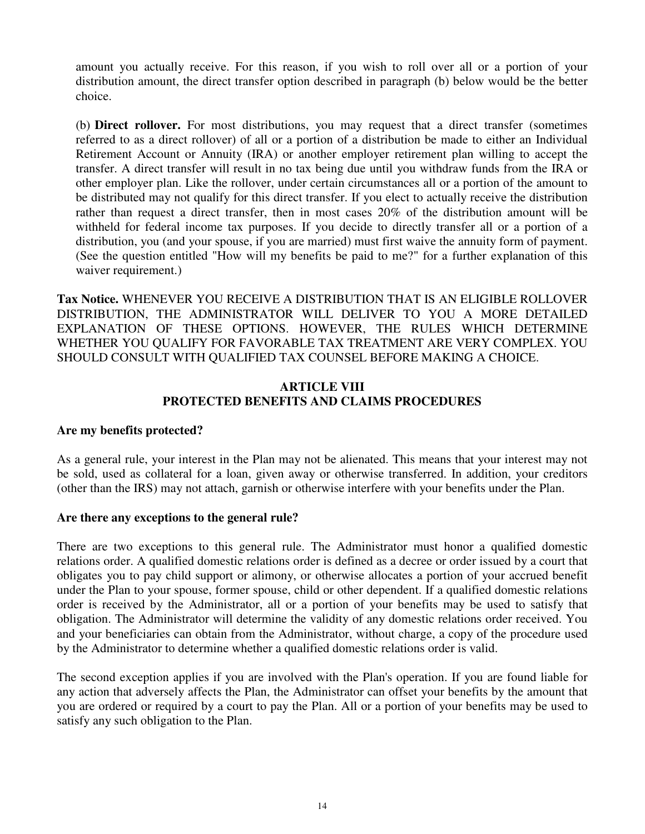amount you actually receive. For this reason, if you wish to roll over all or a portion of your distribution amount, the direct transfer option described in paragraph (b) below would be the better choice.

(b) **Direct rollover.** For most distributions, you may request that a direct transfer (sometimes referred to as a direct rollover) of all or a portion of a distribution be made to either an Individual Retirement Account or Annuity (IRA) or another employer retirement plan willing to accept the transfer. A direct transfer will result in no tax being due until you withdraw funds from the IRA or other employer plan. Like the rollover, under certain circumstances all or a portion of the amount to be distributed may not qualify for this direct transfer. If you elect to actually receive the distribution rather than request a direct transfer, then in most cases 20% of the distribution amount will be withheld for federal income tax purposes. If you decide to directly transfer all or a portion of a distribution, you (and your spouse, if you are married) must first waive the annuity form of payment. (See the question entitled "How will my benefits be paid to me?" for a further explanation of this waiver requirement.)

**Tax Notice.** WHENEVER YOU RECEIVE A DISTRIBUTION THAT IS AN ELIGIBLE ROLLOVER DISTRIBUTION, THE ADMINISTRATOR WILL DELIVER TO YOU A MORE DETAILED EXPLANATION OF THESE OPTIONS. HOWEVER, THE RULES WHICH DETERMINE WHETHER YOU QUALIFY FOR FAVORABLE TAX TREATMENT ARE VERY COMPLEX. YOU SHOULD CONSULT WITH QUALIFIED TAX COUNSEL BEFORE MAKING A CHOICE.

#### **ARTICLE VIII PROTECTED BENEFITS AND CLAIMS PROCEDURES**

#### **Are my benefits protected?**

As a general rule, your interest in the Plan may not be alienated. This means that your interest may not be sold, used as collateral for a loan, given away or otherwise transferred. In addition, your creditors (other than the IRS) may not attach, garnish or otherwise interfere with your benefits under the Plan.

#### **Are there any exceptions to the general rule?**

There are two exceptions to this general rule. The Administrator must honor a qualified domestic relations order. A qualified domestic relations order is defined as a decree or order issued by a court that obligates you to pay child support or alimony, or otherwise allocates a portion of your accrued benefit under the Plan to your spouse, former spouse, child or other dependent. If a qualified domestic relations order is received by the Administrator, all or a portion of your benefits may be used to satisfy that obligation. The Administrator will determine the validity of any domestic relations order received. You and your beneficiaries can obtain from the Administrator, without charge, a copy of the procedure used by the Administrator to determine whether a qualified domestic relations order is valid.

The second exception applies if you are involved with the Plan's operation. If you are found liable for any action that adversely affects the Plan, the Administrator can offset your benefits by the amount that you are ordered or required by a court to pay the Plan. All or a portion of your benefits may be used to satisfy any such obligation to the Plan.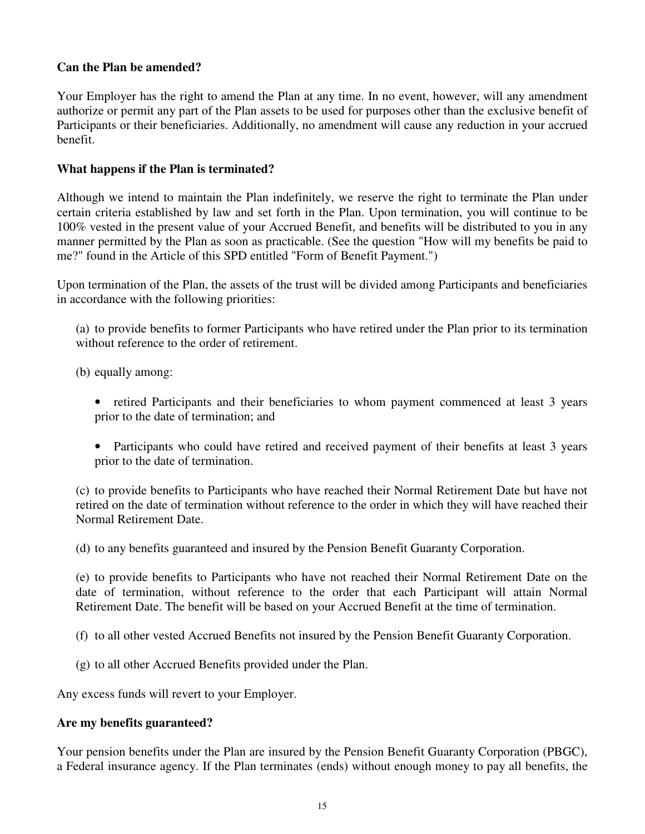## **Can the Plan be amended?**

Your Employer has the right to amend the Plan at any time. In no event, however, will any amendment authorize or permit any part of the Plan assets to be used for purposes other than the exclusive benefit of Participants or their beneficiaries. Additionally, no amendment will cause any reduction in your accrued benefit.

### **What happens if the Plan is terminated?**

Although we intend to maintain the Plan indefinitely, we reserve the right to terminate the Plan under certain criteria established by law and set forth in the Plan. Upon termination, you will continue to be 100% vested in the present value of your Accrued Benefit, and benefits will be distributed to you in any manner permitted by the Plan as soon as practicable. (See the question "How will my benefits be paid to me?" found in the Article of this SPD entitled "Form of Benefit Payment.")

Upon termination of the Plan, the assets of the trust will be divided among Participants and beneficiaries in accordance with the following priorities:

(a) to provide benefits to former Participants who have retired under the Plan prior to its termination without reference to the order of retirement.

(b) equally among:

- retired Participants and their beneficiaries to whom payment commenced at least 3 years prior to the date of termination; and
- Participants who could have retired and received payment of their benefits at least 3 years prior to the date of termination.

(c) to provide benefits to Participants who have reached their Normal Retirement Date but have not retired on the date of termination without reference to the order in which they will have reached their Normal Retirement Date.

(d) to any benefits guaranteed and insured by the Pension Benefit Guaranty Corporation.

(e) to provide benefits to Participants who have not reached their Normal Retirement Date on the date of termination, without reference to the order that each Participant will attain Normal Retirement Date. The benefit will be based on your Accrued Benefit at the time of termination.

- (f) to all other vested Accrued Benefits not insured by the Pension Benefit Guaranty Corporation.
- (g) to all other Accrued Benefits provided under the Plan.

Any excess funds will revert to your Employer.

#### **Are my benefits guaranteed?**

Your pension benefits under the Plan are insured by the Pension Benefit Guaranty Corporation (PBGC), a Federal insurance agency. If the Plan terminates (ends) without enough money to pay all benefits, the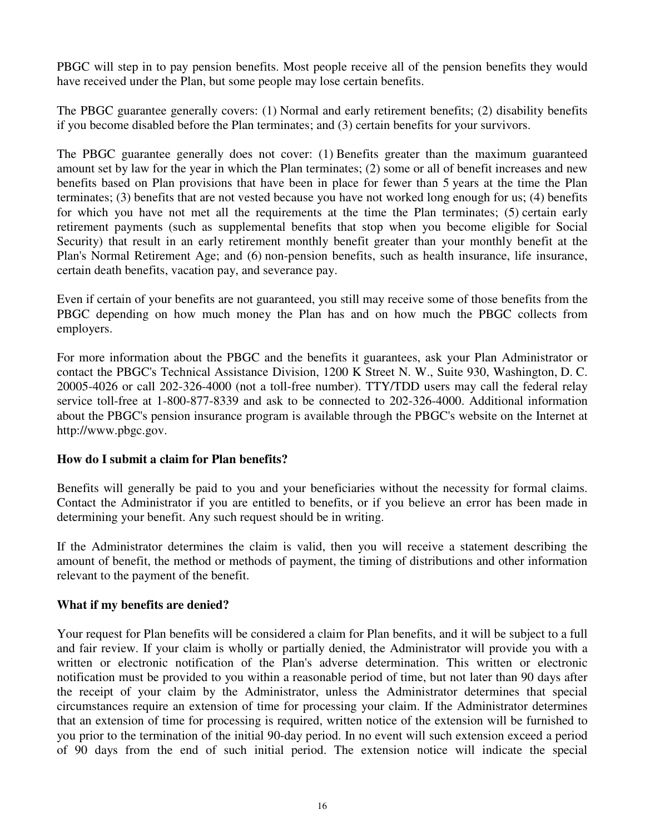PBGC will step in to pay pension benefits. Most people receive all of the pension benefits they would have received under the Plan, but some people may lose certain benefits.

The PBGC guarantee generally covers: (1) Normal and early retirement benefits; (2) disability benefits if you become disabled before the Plan terminates; and (3) certain benefits for your survivors.

The PBGC guarantee generally does not cover: (1) Benefits greater than the maximum guaranteed amount set by law for the year in which the Plan terminates; (2) some or all of benefit increases and new benefits based on Plan provisions that have been in place for fewer than 5 years at the time the Plan terminates; (3) benefits that are not vested because you have not worked long enough for us; (4) benefits for which you have not met all the requirements at the time the Plan terminates; (5) certain early retirement payments (such as supplemental benefits that stop when you become eligible for Social Security) that result in an early retirement monthly benefit greater than your monthly benefit at the Plan's Normal Retirement Age; and (6) non-pension benefits, such as health insurance, life insurance, certain death benefits, vacation pay, and severance pay.

Even if certain of your benefits are not guaranteed, you still may receive some of those benefits from the PBGC depending on how much money the Plan has and on how much the PBGC collects from employers.

For more information about the PBGC and the benefits it guarantees, ask your Plan Administrator or contact the PBGC's Technical Assistance Division, 1200 K Street N. W., Suite 930, Washington, D. C. 20005-4026 or call 202-326-4000 (not a toll-free number). TTY/TDD users may call the federal relay service toll-free at 1-800-877-8339 and ask to be connected to 202-326-4000. Additional information about the PBGC's pension insurance program is available through the PBGC's website on the Internet at http://www.pbgc.gov.

# **How do I submit a claim for Plan benefits?**

Benefits will generally be paid to you and your beneficiaries without the necessity for formal claims. Contact the Administrator if you are entitled to benefits, or if you believe an error has been made in determining your benefit. Any such request should be in writing.

If the Administrator determines the claim is valid, then you will receive a statement describing the amount of benefit, the method or methods of payment, the timing of distributions and other information relevant to the payment of the benefit.

# **What if my benefits are denied?**

Your request for Plan benefits will be considered a claim for Plan benefits, and it will be subject to a full and fair review. If your claim is wholly or partially denied, the Administrator will provide you with a written or electronic notification of the Plan's adverse determination. This written or electronic notification must be provided to you within a reasonable period of time, but not later than 90 days after the receipt of your claim by the Administrator, unless the Administrator determines that special circumstances require an extension of time for processing your claim. If the Administrator determines that an extension of time for processing is required, written notice of the extension will be furnished to you prior to the termination of the initial 90-day period. In no event will such extension exceed a period of 90 days from the end of such initial period. The extension notice will indicate the special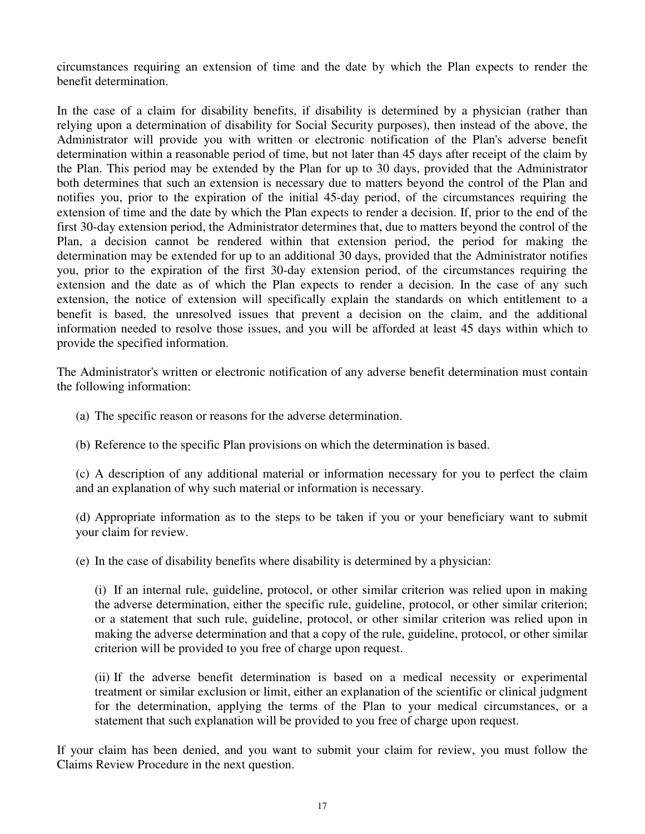circumstances requiring an extension of time and the date by which the Plan expects to render the benefit determination.

In the case of a claim for disability benefits, if disability is determined by a physician (rather than relying upon a determination of disability for Social Security purposes), then instead of the above, the Administrator will provide you with written or electronic notification of the Plan's adverse benefit determination within a reasonable period of time, but not later than 45 days after receipt of the claim by the Plan. This period may be extended by the Plan for up to 30 days, provided that the Administrator both determines that such an extension is necessary due to matters beyond the control of the Plan and notifies you, prior to the expiration of the initial 45-day period, of the circumstances requiring the extension of time and the date by which the Plan expects to render a decision. If, prior to the end of the first 30-day extension period, the Administrator determines that, due to matters beyond the control of the Plan, a decision cannot be rendered within that extension period, the period for making the determination may be extended for up to an additional 30 days, provided that the Administrator notifies you, prior to the expiration of the first 30-day extension period, of the circumstances requiring the extension and the date as of which the Plan expects to render a decision. In the case of any such extension, the notice of extension will specifically explain the standards on which entitlement to a benefit is based, the unresolved issues that prevent a decision on the claim, and the additional information needed to resolve those issues, and you will be afforded at least 45 days within which to provide the specified information.

The Administrator's written or electronic notification of any adverse benefit determination must contain the following information:

- (a) The specific reason or reasons for the adverse determination.
- (b) Reference to the specific Plan provisions on which the determination is based.

(c) A description of any additional material or information necessary for you to perfect the claim and an explanation of why such material or information is necessary.

(d) Appropriate information as to the steps to be taken if you or your beneficiary want to submit your claim for review.

(e) In the case of disability benefits where disability is determined by a physician:

(i) If an internal rule, guideline, protocol, or other similar criterion was relied upon in making the adverse determination, either the specific rule, guideline, protocol, or other similar criterion; or a statement that such rule, guideline, protocol, or other similar criterion was relied upon in making the adverse determination and that a copy of the rule, guideline, protocol, or other similar criterion will be provided to you free of charge upon request.

(ii) If the adverse benefit determination is based on a medical necessity or experimental treatment or similar exclusion or limit, either an explanation of the scientific or clinical judgment for the determination, applying the terms of the Plan to your medical circumstances, or a statement that such explanation will be provided to you free of charge upon request.

If your claim has been denied, and you want to submit your claim for review, you must follow the Claims Review Procedure in the next question.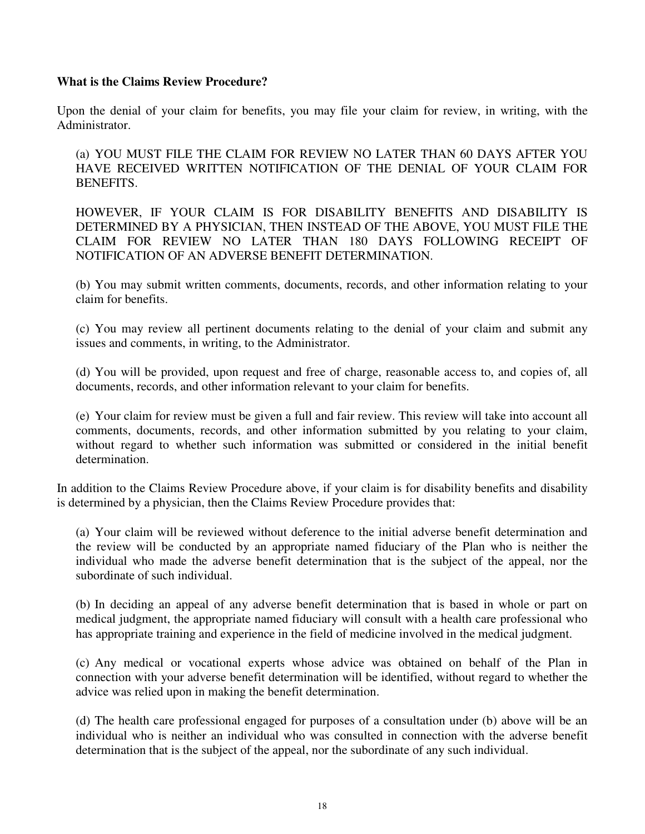## **What is the Claims Review Procedure?**

Upon the denial of your claim for benefits, you may file your claim for review, in writing, with the Administrator.

(a) YOU MUST FILE THE CLAIM FOR REVIEW NO LATER THAN 60 DAYS AFTER YOU HAVE RECEIVED WRITTEN NOTIFICATION OF THE DENIAL OF YOUR CLAIM FOR BENEFITS.

HOWEVER, IF YOUR CLAIM IS FOR DISABILITY BENEFITS AND DISABILITY IS DETERMINED BY A PHYSICIAN, THEN INSTEAD OF THE ABOVE, YOU MUST FILE THE CLAIM FOR REVIEW NO LATER THAN 180 DAYS FOLLOWING RECEIPT OF NOTIFICATION OF AN ADVERSE BENEFIT DETERMINATION.

(b) You may submit written comments, documents, records, and other information relating to your claim for benefits.

(c) You may review all pertinent documents relating to the denial of your claim and submit any issues and comments, in writing, to the Administrator.

(d) You will be provided, upon request and free of charge, reasonable access to, and copies of, all documents, records, and other information relevant to your claim for benefits.

(e) Your claim for review must be given a full and fair review. This review will take into account all comments, documents, records, and other information submitted by you relating to your claim, without regard to whether such information was submitted or considered in the initial benefit determination.

In addition to the Claims Review Procedure above, if your claim is for disability benefits and disability is determined by a physician, then the Claims Review Procedure provides that:

(a) Your claim will be reviewed without deference to the initial adverse benefit determination and the review will be conducted by an appropriate named fiduciary of the Plan who is neither the individual who made the adverse benefit determination that is the subject of the appeal, nor the subordinate of such individual.

(b) In deciding an appeal of any adverse benefit determination that is based in whole or part on medical judgment, the appropriate named fiduciary will consult with a health care professional who has appropriate training and experience in the field of medicine involved in the medical judgment.

(c) Any medical or vocational experts whose advice was obtained on behalf of the Plan in connection with your adverse benefit determination will be identified, without regard to whether the advice was relied upon in making the benefit determination.

(d) The health care professional engaged for purposes of a consultation under (b) above will be an individual who is neither an individual who was consulted in connection with the adverse benefit determination that is the subject of the appeal, nor the subordinate of any such individual.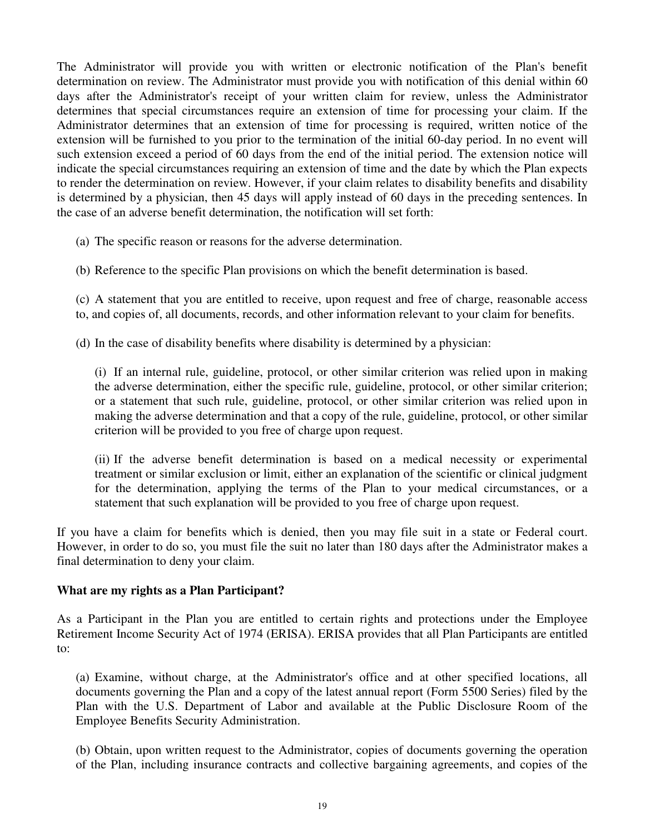The Administrator will provide you with written or electronic notification of the Plan's benefit determination on review. The Administrator must provide you with notification of this denial within 60 days after the Administrator's receipt of your written claim for review, unless the Administrator determines that special circumstances require an extension of time for processing your claim. If the Administrator determines that an extension of time for processing is required, written notice of the extension will be furnished to you prior to the termination of the initial 60-day period. In no event will such extension exceed a period of 60 days from the end of the initial period. The extension notice will indicate the special circumstances requiring an extension of time and the date by which the Plan expects to render the determination on review. However, if your claim relates to disability benefits and disability is determined by a physician, then 45 days will apply instead of 60 days in the preceding sentences. In the case of an adverse benefit determination, the notification will set forth:

(a) The specific reason or reasons for the adverse determination.

(b) Reference to the specific Plan provisions on which the benefit determination is based.

(c) A statement that you are entitled to receive, upon request and free of charge, reasonable access to, and copies of, all documents, records, and other information relevant to your claim for benefits.

(d) In the case of disability benefits where disability is determined by a physician:

(i) If an internal rule, guideline, protocol, or other similar criterion was relied upon in making the adverse determination, either the specific rule, guideline, protocol, or other similar criterion; or a statement that such rule, guideline, protocol, or other similar criterion was relied upon in making the adverse determination and that a copy of the rule, guideline, protocol, or other similar criterion will be provided to you free of charge upon request.

(ii) If the adverse benefit determination is based on a medical necessity or experimental treatment or similar exclusion or limit, either an explanation of the scientific or clinical judgment for the determination, applying the terms of the Plan to your medical circumstances, or a statement that such explanation will be provided to you free of charge upon request.

If you have a claim for benefits which is denied, then you may file suit in a state or Federal court. However, in order to do so, you must file the suit no later than 180 days after the Administrator makes a final determination to deny your claim.

#### **What are my rights as a Plan Participant?**

As a Participant in the Plan you are entitled to certain rights and protections under the Employee Retirement Income Security Act of 1974 (ERISA). ERISA provides that all Plan Participants are entitled to:

(a) Examine, without charge, at the Administrator's office and at other specified locations, all documents governing the Plan and a copy of the latest annual report (Form 5500 Series) filed by the Plan with the U.S. Department of Labor and available at the Public Disclosure Room of the Employee Benefits Security Administration.

(b) Obtain, upon written request to the Administrator, copies of documents governing the operation of the Plan, including insurance contracts and collective bargaining agreements, and copies of the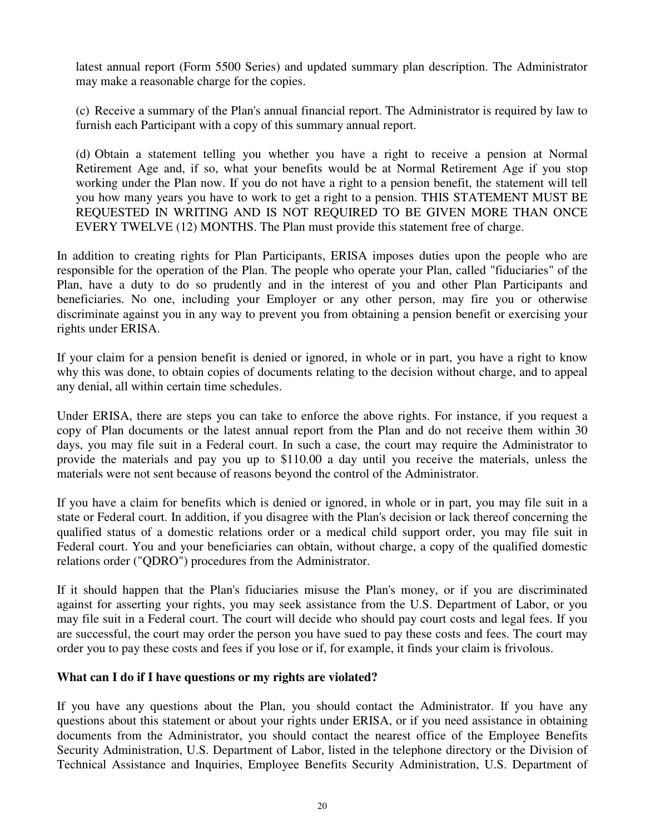latest annual report (Form 5500 Series) and updated summary plan description. The Administrator may make a reasonable charge for the copies.

(c) Receive a summary of the Plan's annual financial report. The Administrator is required by law to furnish each Participant with a copy of this summary annual report.

(d) Obtain a statement telling you whether you have a right to receive a pension at Normal Retirement Age and, if so, what your benefits would be at Normal Retirement Age if you stop working under the Plan now. If you do not have a right to a pension benefit, the statement will tell you how many years you have to work to get a right to a pension. THIS STATEMENT MUST BE REQUESTED IN WRITING AND IS NOT REQUIRED TO BE GIVEN MORE THAN ONCE EVERY TWELVE (12) MONTHS. The Plan must provide this statement free of charge.

In addition to creating rights for Plan Participants, ERISA imposes duties upon the people who are responsible for the operation of the Plan. The people who operate your Plan, called "fiduciaries" of the Plan, have a duty to do so prudently and in the interest of you and other Plan Participants and beneficiaries. No one, including your Employer or any other person, may fire you or otherwise discriminate against you in any way to prevent you from obtaining a pension benefit or exercising your rights under ERISA.

If your claim for a pension benefit is denied or ignored, in whole or in part, you have a right to know why this was done, to obtain copies of documents relating to the decision without charge, and to appeal any denial, all within certain time schedules.

Under ERISA, there are steps you can take to enforce the above rights. For instance, if you request a copy of Plan documents or the latest annual report from the Plan and do not receive them within 30 days, you may file suit in a Federal court. In such a case, the court may require the Administrator to provide the materials and pay you up to \$110.00 a day until you receive the materials, unless the materials were not sent because of reasons beyond the control of the Administrator.

If you have a claim for benefits which is denied or ignored, in whole or in part, you may file suit in a state or Federal court. In addition, if you disagree with the Plan's decision or lack thereof concerning the qualified status of a domestic relations order or a medical child support order, you may file suit in Federal court. You and your beneficiaries can obtain, without charge, a copy of the qualified domestic relations order ("QDRO") procedures from the Administrator.

If it should happen that the Plan's fiduciaries misuse the Plan's money, or if you are discriminated against for asserting your rights, you may seek assistance from the U.S. Department of Labor, or you may file suit in a Federal court. The court will decide who should pay court costs and legal fees. If you are successful, the court may order the person you have sued to pay these costs and fees. The court may order you to pay these costs and fees if you lose or if, for example, it finds your claim is frivolous.

#### **What can I do if I have questions or my rights are violated?**

If you have any questions about the Plan, you should contact the Administrator. If you have any questions about this statement or about your rights under ERISA, or if you need assistance in obtaining documents from the Administrator, you should contact the nearest office of the Employee Benefits Security Administration, U.S. Department of Labor, listed in the telephone directory or the Division of Technical Assistance and Inquiries, Employee Benefits Security Administration, U.S. Department of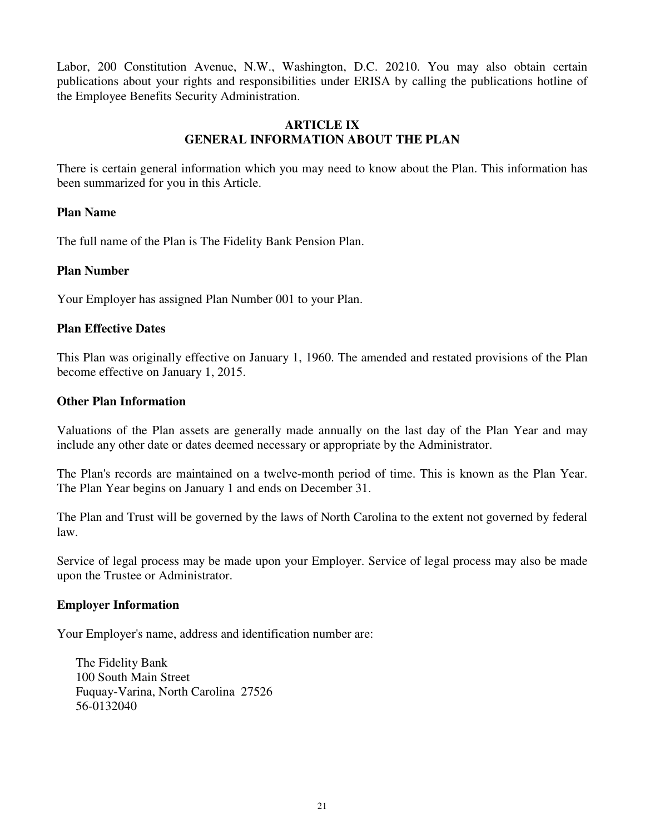Labor, 200 Constitution Avenue, N.W., Washington, D.C. 20210. You may also obtain certain publications about your rights and responsibilities under ERISA by calling the publications hotline of the Employee Benefits Security Administration.

### **ARTICLE IX GENERAL INFORMATION ABOUT THE PLAN**

There is certain general information which you may need to know about the Plan. This information has been summarized for you in this Article.

#### **Plan Name**

The full name of the Plan is The Fidelity Bank Pension Plan.

#### **Plan Number**

Your Employer has assigned Plan Number 001 to your Plan.

#### **Plan Effective Dates**

This Plan was originally effective on January 1, 1960. The amended and restated provisions of the Plan become effective on January 1, 2015.

#### **Other Plan Information**

Valuations of the Plan assets are generally made annually on the last day of the Plan Year and may include any other date or dates deemed necessary or appropriate by the Administrator.

The Plan's records are maintained on a twelve-month period of time. This is known as the Plan Year. The Plan Year begins on January 1 and ends on December 31.

The Plan and Trust will be governed by the laws of North Carolina to the extent not governed by federal law.

Service of legal process may be made upon your Employer. Service of legal process may also be made upon the Trustee or Administrator.

#### **Employer Information**

Your Employer's name, address and identification number are:

The Fidelity Bank 100 South Main Street Fuquay-Varina, North Carolina 27526 56-0132040